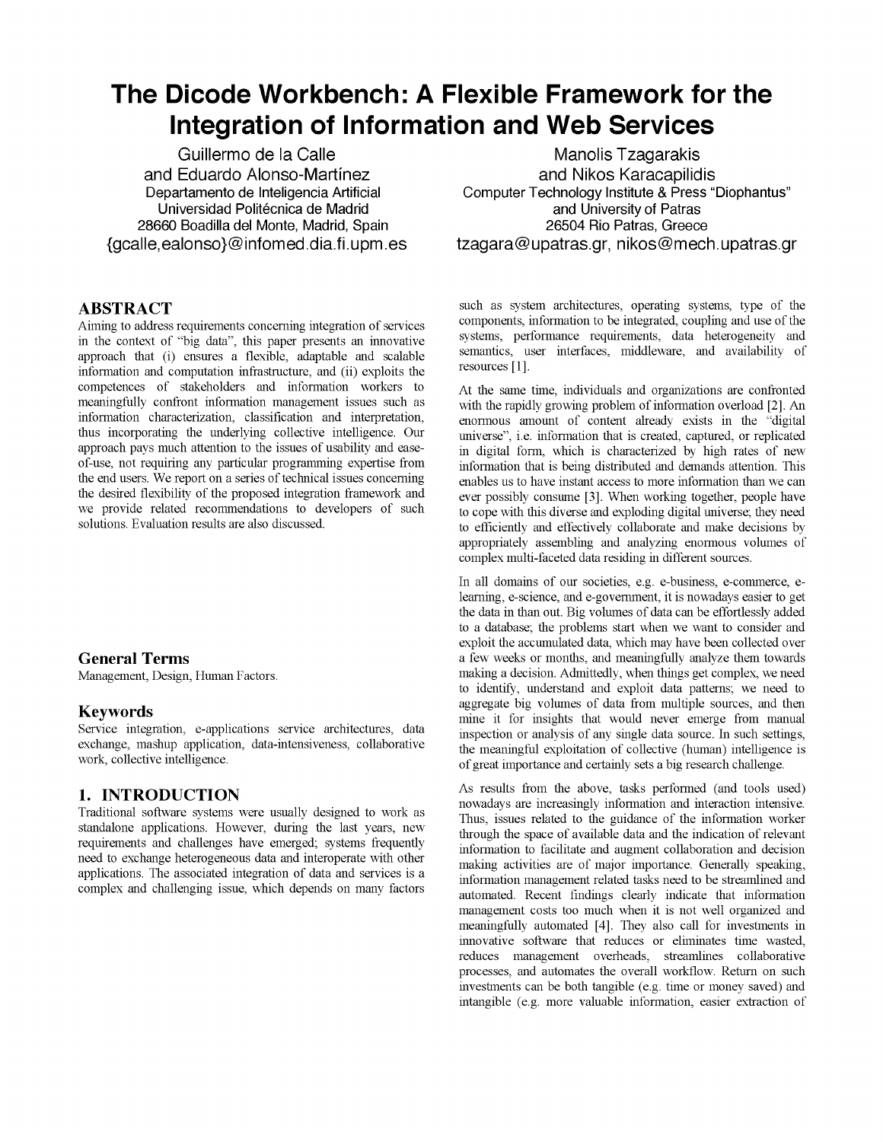# **The Dicode Workbench: A Flexible Framework for the Integration of Information and Web Services**

and Eduardo Alonso-Martínez Departamento de Inteligencia Artificial Universidad Politécnica de Madrid 28660 Boadilla del Monte, Madrid, Spain {gcalle,ealonso}@infomed.[dia.fi.](http://dia.fi)[upm.es](http://upm.es) 

# ABSTRACT

Aiming to address requirements concerning integration of services in the context of "big data", this paper presents an innovative approach that (i) ensures a flexible, adaptable and scalable information and computation infrastructure, and (ii) exploits the competences of stakeholders and information workers to meaningfully confront information management issues such as information characterization, classification and interpretation, thus incorporating the underlying collective intelligence. Our approach pays much attention to the issues of usability and easeof-use, not requiring any particular programming expertise from the end users. We report on a series of technical issues concerning the desired flexibility of the proposed integration framework and we provide related recommendations to developers of such solutions. Evaluation results are also discussed.

# General Terms

Management, Design, Human Factors.

# Keywords

Service integration, e-applications service architectures, data exchange, mashup application, data-intensiveness, collaborative work, collective intelligence.

# 1. INTRODUCTION

Traditional software systems were usually designed to work as standalone applications. However, during the last years, new requirements and challenges have emerged; systems frequently need to exchange heterogeneous data and interoperate with other applications. The associated integration of data and services is a complex and challenging issue, which depends on many factors

Guillermo de la Calle Manolis Tzagarakis and Nikos Karacapilidis Computer Technology Institute & Press "Diophantus" and University of Patras 26504 Rio Patras, Greece [tzagara@upatras.gr,](mailto:tzagara@upatras.gr) [nikos@mech.upatras.gr](mailto:nikos@mech.upatras.gr) 

> such as system architectures, operating systems, type of the components, information to be integrated, coupling and use of the systems, performance requirements, data heterogeneity and semantics, user interfaces, middleware, and availability of resources [1].

> At the same time, individuals and organizations are confronted with the rapidly growing problem of information overload [2]. An enormous amount of content already exists in the "digital universe", i.e. information that is created, captured, or replicated in digital form, which is characterized by high rates of new information that is being distributed and demands attention. This enables us to have instant access to more information than we can ever possibly consume [3]. When working together, people have to cope with this diverse and exploding digital universe; they need to efficiently and effectively collaborate and make decisions by appropriately assembling and analyzing enormous volumes of complex multi-faceted data residing in different sources.

> In all domains of our societies, e.g. e-business, e-commerce, elearning, e-science, and e-government, it is nowadays easier to get the data in than out. Big volumes of data can be effortlessly added to a database; the problems start when we want to consider and exploit the accumulated data, which may have been collected over a few weeks or months, and meaningfully analyze them towards making a decision. Admittedly, when things get complex, we need to identify, understand and exploit data patterns; we need to aggregate big volumes of data from multiple sources, and then mine it for insights that would never emerge from manual inspection or analysis of any single data source. In such settings, the meaningful exploitation of collective (human) intelligence is of great importance and certainly sets a big research challenge.

> As results from the above, tasks performed (and tools used) nowadays are increasingly information and interaction intensive. Thus, issues related to the guidance of the information worker through the space of available data and the indication of relevant information to facilitate and augment collaboration and decision making activities are of major importance. Generally speaking, information management related tasks need to be streamlined and automated. Recent findings clearly indicate that information management costs too much when it is not well organized and meaningfully automated [4]. They also call for investments in innovative software that reduces or eliminates time wasted, reduces management overheads, streamlines collaborative processes, and automates the overall workflow. Return on such investments can be both tangible (e.g. time or money saved) and intangible (e.g. more valuable information, easier extraction of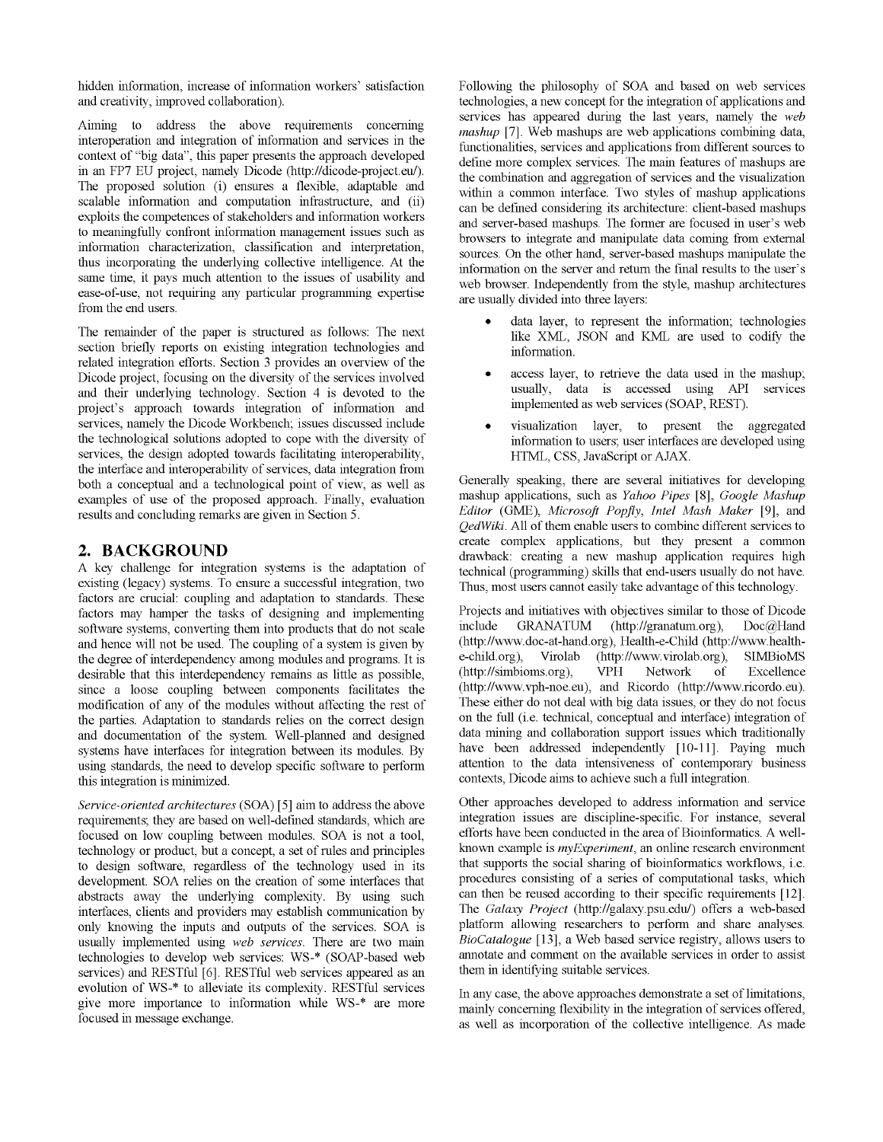hidden information, increase of information workers' satisfaction and creativity, improved collaboration).

Aiming to address the above requirements concerning interoperation and integration of information and services in the context of "big data", this paper presents the approach developed in an FP7 EU project, namely Dicode ([http://dicode-project.eu/\).](http://dicode-project.eu/) The proposed solution (i) ensures a flexible, adaptable and scalable information and computation infrastructure, and (ii) exploits the competences of stakeholders and information workers to meaningfully confront information management issues such as information characterization, classification and interpretation, thus incorporating the underlying collective intelligence. At the same time, it pays much attention to the issues of usability and ease-of-use, not requiring any particular programming expertise from the end users.

The remainder of the paper is structured as follows: The next section briefly reports on existing integration technologies and related integration efforts. Section 3 provides an overview of the Dicode project, focusing on the diversity of the services involved and their underlying technology. Section 4 is devoted to the project's approach towards integration of information and services, namely the Dicode Workbench; issues discussed include the technological solutions adopted to cope with the diversity of services, the design adopted towards facilitating interoperability, the interface and interoperability of services, data integration from both a conceptual and a technological point of view, as well as examples of use of the proposed approach. Finally, evaluation results and concluding remarks are given in Section 5.

# 2. BACKGROUND

A key challenge for integration systems is the adaptation of existing (legacy) systems. To ensure a successful integration, two factors are crucial: coupling and adaptation to standards. These factors may hamper the tasks of designing and implementing software systems, converting them into products that do not scale and hence will not be used. The coupling of a system is given by the degree of interdependency among modules and programs. It is desirable that this interdependency remains as little as possible, since a loose coupling between components facilitates the modification of any of the modules without affecting the rest of the parties. Adaptation to standards relies on the correct design and documentation of the system. Well-planned and designed systems have interfaces for integration between its modules. By using standards, the need to develop specific software to perform this integration is minimized.

*Service-oriented architectures* (SOA) [5] aim to address the above requirements; they are based on well-defined standards, which are focused on low coupling between modules. SOA is not a tool, technology or product, but a concept, a set of rules and principles to design software, regardless of the technology used in its development. SOA relies on the creation of some interfaces that abstracts away the underlying complexity. By using such interfaces, clients and providers may establish communication by only knowing the inputs and outputs of the services. SOA is usually implemented using *web services.* There are two main technologies to develop web services: WS-\* (SOAP-based web services) and RESTful [6]. RESTful web services appeared as an evolution of WS-\* to alleviate its complexity. RESTful services give more importance to information while WS-\* are more focused in message exchange.

Following the philosophy of SOA and based on web services technologies, a new concept for the integration of applications and services has appeared during the last years, namely the *web mashup* [7]. Web mashups are web applications combining data, functionalities, services and applications from different sources to define more complex services. The main features of mashups are the combination and aggregation of services and the visualization within a common interface. Two styles of mashup applications can be defined considering its architecture: client-based mashups and server-based mashups. The former are focused in user's web browsers to integrate and manipulate data coming from external sources. On the other hand, server-based mashups manipulate the information on the server and return the final results to the user's web browser. Independently from the style, mashup architectures are usually divided into three layers:

- data layer, to represent the information; technologies like XML, JSON and KML are used to codify the information.
- access layer, to retrieve the data used in the mashup; usually, data is accessed using API services implemented as web services (SOAP, REST).
- visualization layer, to present the aggregated information to users; user interfaces are developed using HTML, CSS, JavaScript or AJAX.

Generally speaking, there are several initiatives for developing mashup applications, such as *Yahoo Pipes* [8], *Google Mashup Editor* (GME), *Microsoft Popfly, Intel Mash Maker* [9], and *QedWiki.* All of them enable users to combine different services to create complex applications, but they present a common drawback: creating a new mashup application requires high technical (programming) skills that end-users usually do not have. Thus, most users cannot easily take advantage of this technology.

Projects and initiatives with objectives similar to those of Dicode include GRANATUM ([http://granatum.org\),](http://granatum.org) Doc@Hand [\(http://www.doc-at-hand.org\),](http://www.doc-at-hand.org) Health-e-Child ([http://www.health](http://www.healthe-child.org)[e-child.org\),](http://www.healthe-child.org) Virolab ([http://www.virolab.org\),](http://www.virolab.org) SIMBioMS [\(http://simbioms.org\)](http://simbioms.org), VPH Network of Excellence [\(http://www.vph-noe.eu\)](http://www.vph-noe.eu), and Ricordo [\(http://www.ricordo.eu\).](http://www.ricordo.eu) These either do not deal with big data issues, or they do not focus on the full (i.e. technical, conceptual and interface) integration of data mining and collaboration support issues which traditionally have been addressed independently [10-11]. Paying much attention to the data intensiveness of contemporary business contexts, Dicode aims to achieve such a full integration.

Other approaches developed to address information and service integration issues are discipline-specific. For instance, several efforts have been conducted in the area of Bioinformatics. A wellknown example is *my Experiment,* an online research environment that supports the social sharing of bioinformatics workflows, i.e. procedures consisting of a series of computational tasks, which can then be reused according to their specific requirements [12]. The *Galaxy Project* ([http://galaxy.psu.edu/\)](http://galaxy.psu.edu/) offers a web-based platform allowing researchers to perform and share analyses. *BioCatalogue* [13], a Web based service registry, allows users to annotate and comment on the available services in order to assist them in identifying suitable services.

In any case, the above approaches demonstrate a set of limitations, mainly concerning flexibility in the integration of services offered, as well as incorporation of the collective intelligence. As made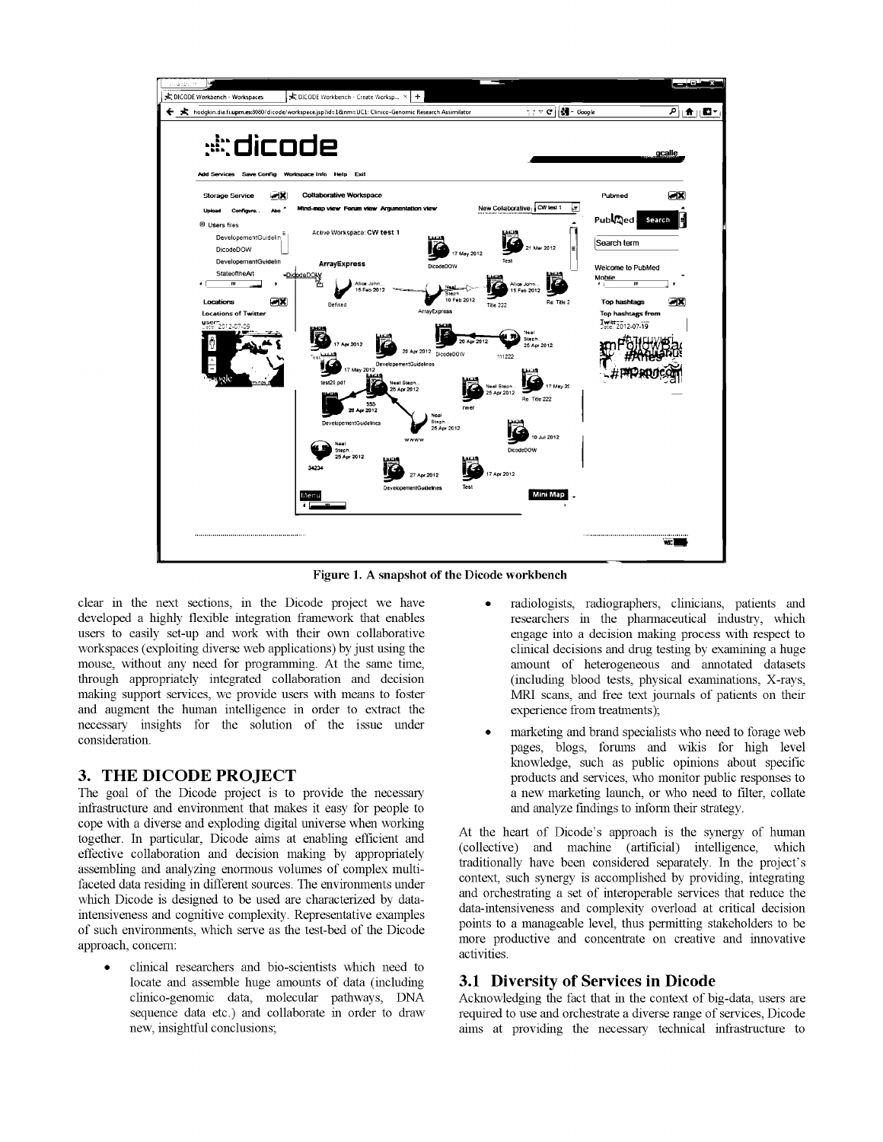

Figure 1. A snapshot of the Dicode workbench

clear in the next sections, in the Dicode project we have developed a highly flexible integration framework that enables users to easily set-up and work with their own collaborative workspaces (exploiting diverse web applications) by just using the mouse, without any need for programming. At the same time, through appropriately integrated collaboration and decision making support services, we provide users with means to foster and augment the human intelligence in order to extract the necessary insights for the solution of the issue under consideration.

# 3. THE DICODE PROJECT

The goal of the Dicode project is to provide the necessary infrastructure and environment that makes it easy for people to cope with a diverse and exploding digital universe when working together. In particular, Dicode aims at enabling efficient and effective collaboration and decision making by appropriately assembling and analyzing enormous volumes of complex multifaceted data residing in different sources. The environments under which Dicode is designed to be used are characterized by dataintensiveness and cognitive complexity. Representative examples of such environments, which serve as the test-bed of the Dicode approach, concern:

• clinical researchers and bio-scientists which need to locate and assemble huge amounts of data (including clinico-genomic data, molecular pathways, DNA sequence data etc.) and collaborate in order to draw new, insightful conclusions;

- radiologists, radiographers, clinicians, patients and researchers in the pharmaceutical industry, which engage into a decision making process with respect to clinical decisions and drug testing by examining a huge amount of heterogeneous and annotated datasets (including blood tests, physical examinations, X-rays, MRI scans, and free text journals of patients on their experience from treatments);
- marketing and brand specialists who need to forage web pages, blogs, forums and wikis for high level knowledge, such as public opinions about specific products and services, who monitor public responses to a new marketing launch, or who need to filter, collate and analyze findings to inform their strategy.

At the heart of Dicode's approach is the synergy of human (collective) and machine (artificial) intelligence, which traditionally have been considered separately. In the project's context, such synergy is accomplished by providing, integrating and orchestrating a set of interoperable services that reduce the data-intensiveness and complexity overload at critical decision points to a manageable level, thus permitting stakeholders to be more productive and concentrate on creative and innovative activities.

### 3.1 Diversity of Services in Dicode

Acknowledging the fact that in the context of big-data, users are required to use and orchestrate a diverse range of services, Dicode aims at providing the necessary technical infrastructure to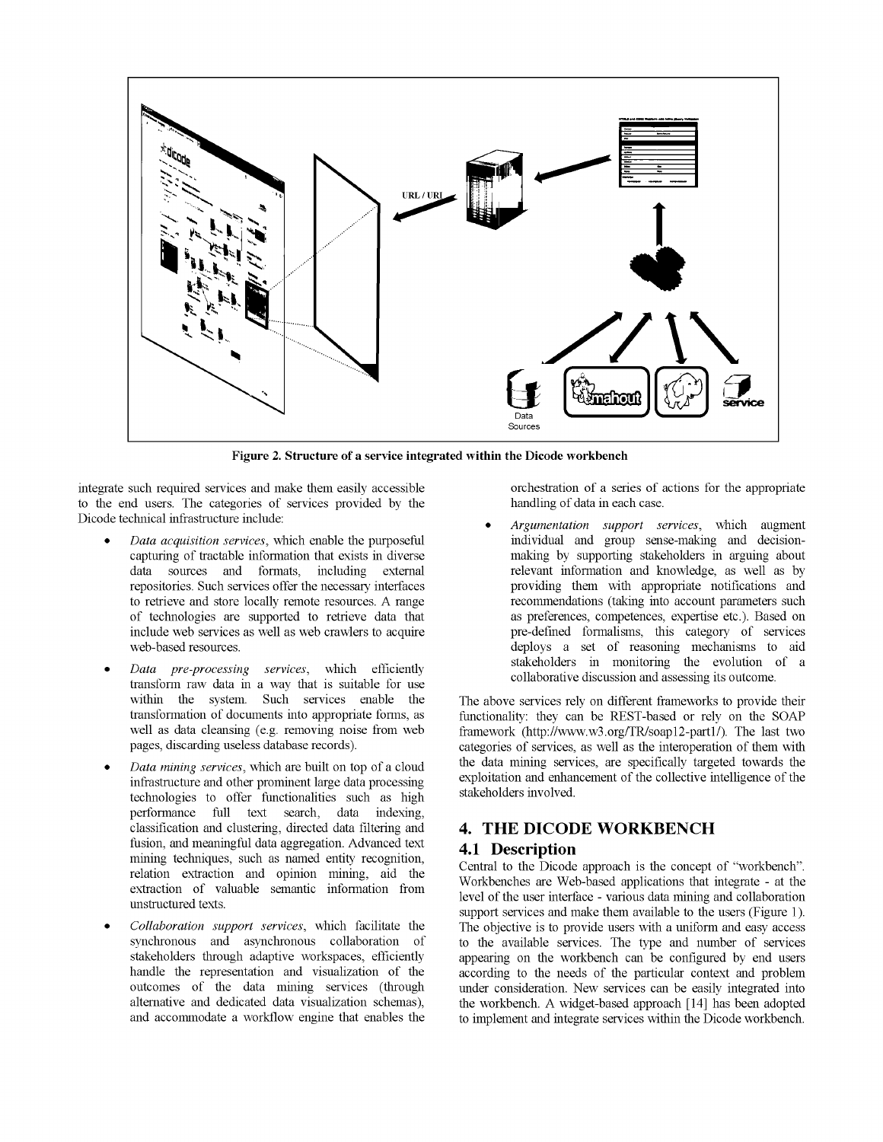

**Figure 2. Structure of a service integrated within the Dicode workbench** 

integrate such required services and make them easily accessible to the end users. The categories of services provided by the Dicode technical infrastructure include:

- • *Data acquisition services,* which enable the purposeful capturing of tractable information that exists in diverse data sources and formats, including external repositories. Such services offer the necessary interfaces to retrieve and store locally remote resources. A range of technologies are supported to retrieve data that include web services as well as web crawlers to acquire web-based resources.
- • *Data pre-processing services,* which efficiently transform raw data in a way that is suitable for use within the system. Such services enable the transformation of documents into appropriate forms, as well as data cleansing (e.g. removing noise from web pages, discarding useless database records).
- • *Data mining services,* which are built on top of a cloud infrastructure and other prominent large data processing technologies to offer functionalities such as high performance full text search, data indexing, classification and clustering, directed data filtering and fusion, and meaningful data aggregation. Advanced text mining techniques, such as named entity recognition, relation extraction and opinion mining, aid the extraction of valuable semantic information from unstructured texts.
- • *Collaboration support services,* which facilitate the synchronous and asynchronous collaboration of stakeholders through adaptive workspaces, efficiently handle the representation and visualization of the outcomes of the data mining services (through alternative and dedicated data visualization schemas), and accommodate a workflow engine that enables the

orchestration of a series of actions for the appropriate handling of data in each case.

• *Argumentation support services,* which augment individual and group sense-making and decisionmaking by supporting stakeholders in arguing about relevant information and knowledge, as well as by providing them with appropriate notifications and recommendations (taking into account parameters such as preferences, competences, expertise etc.). Based on pre-defined formalisms, this category of services deploys a set of reasoning mechanisms to aid stakeholders in monitoring the evolution of a collaborative discussion and assessing its outcome.

The above services rely on different frameworks to provide their functionality: they can be REST-based or rely on the SOAP framework ([http://www.w3.org/TR/soapl2-partl/\).](http://www.w3.org/TR/soapl2-partl/) The last two categories of services, as well as the interoperation of them with the data mining services, are specifically targeted towards the exploitation and enhancement of the collective intelligence of the stakeholders involved.

# 4. THE DICODE WORKBENCH

# 4.1 Description

Central to the Dicode approach is the concept of "workbench". Workbenches are Web-based applications that integrate - at the level of the user interface - various data mining and collaboration support services and make them available to the users (Figure 1). The objective is to provide users with a uniform and easy access to the available services. The type and number of services appearing on the workbench can be configured by end users according to the needs of the particular context and problem under consideration. New services can be easily integrated into the workbench. A widget-based approach [14] has been adopted to implement and integrate services within the Dicode workbench.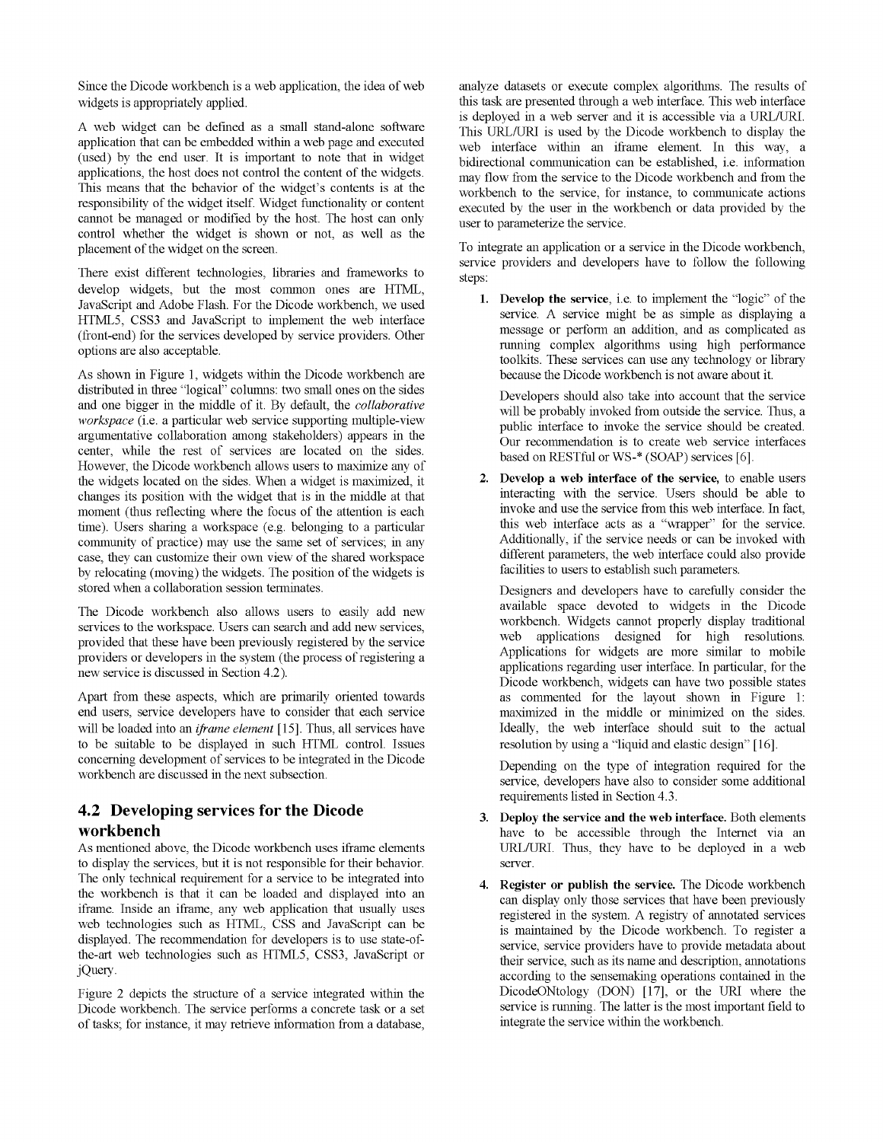Since the Dicode workbench is a web application, the idea of web widgets is appropriately applied.

A web widget can be defined as a small stand-alone software application that can be embedded within a web page and executed (used) by the end user. It is important to note that in widget applications, the host does not control the content of the widgets. This means that the behavior of the widget's contents is at the responsibility of the widget itself. Widget functionality or content cannot be managed or modified by the host. The host can only control whether the widget is shown or not, as well as the placement of the widget on the screen.

There exist different technologies, libraries and frameworks to develop widgets, but the most common ones are HTML, JavaScript and Adobe Flash. For the Dicode workbench, we used HTML5, CSS3 and JavaScript to implement the web interface (front-end) for the services developed by service providers. Other options are also acceptable.

As shown in Figure 1, widgets within the Dicode workbench are distributed in three "logical" columns: two small ones on the sides and one bigger in the middle of it. By default, the *collaborative workspace* (i.e. a particular web service supporting multiple-view argumentative collaboration among stakeholders) appears in the center, while the rest of services are located on the sides. However, the Dicode workbench allows users to maximize any of the widgets located on the sides. When a widget is maximized, it changes its position with the widget that is in the middle at that moment (thus reflecting where the focus of the attention is each time). Users sharing a workspace (e.g. belonging to a particular community of practice) may use the same set of services; in any case, they can customize their own view of the shared workspace by relocating (moving) the widgets. The position of the widgets is stored when a collaboration session terminates.

The Dicode workbench also allows users to easily add new services to the workspace. Users can search and add new services, provided that these have been previously registered by the service providers or developers in the system (the process of registering a new service is discussed in Section 4.2).

Apart from these aspects, which are primarily oriented towards end users, service developers have to consider that each service will be loaded into an *iframe element* [15]. Thus, all services have to be suitable to be displayed in such HTML control. Issues concerning development of services to be integrated in the Dicode workbench are discussed in the next subsection.

# 4.2 Developing services for the Dicode workbench

As mentioned above, the Dicode workbench uses iframe elements to display the services, but it is not responsible for their behavior. The only technical requirement for a service to be integrated into the workbench is that it can be loaded and displayed into an iframe. Inside an iframe, any web application that usually uses web technologies such as HTML, CSS and JavaScript can be displayed. The recommendation for developers is to use state-ofthe-art web technologies such as HTML5, CSS3, JavaScript or jQuery.

Figure 2 depicts the structure of a service integrated within the Dicode workbench. The service performs a concrete task or a set of tasks; for instance, it may retrieve information from a database,

analyze datasets or execute complex algorithms. The results of this task are presented through a web interface. This web interface is deployed in a web server and it is accessible via a URL/URL This URL/URI is used by the Dicode workbench to display the web interface within an iframe element. In this way, a bidirectional communication can be established, i.e. information may flow from the service to the Dicode workbench and from the workbench to the service, for instance, to communicate actions executed by the user in the workbench or data provided by the user to parameterize the service.

To integrate an application or a service in the Dicode workbench, service providers and developers have to follow the following steps:

**1. Develop the service,** i.e. to implement the "logic" of the service. A service might be as simple as displaying a message or perform an addition, and as complicated as running complex algorithms using high performance toolkits. These services can use any technology or library because the Dicode workbench is not aware about it.

Developers should also take into account that the service will be probably invoked from outside the service. Thus, a public interface to invoke the service should be created. Our recommendation is to create web service interfaces based on RESTful or WS-\* (SOAP) services [6].

**2. Develop a web interface of the service,** to enable users interacting with the service. Users should be able to invoke and use the service from this web interface. In fact, this web interface acts as a "wrapper" for the service. Additionally, if the service needs or can be invoked with different parameters, the web interface could also provide facilities to users to establish such parameters.

Designers and developers have to carefully consider the available space devoted to widgets in the Dicode workbench. Widgets cannot properly display traditional web applications designed for high resolutions. Applications for widgets are more similar to mobile applications regarding user interface. In particular, for the Dicode workbench, widgets can have two possible states as commented for the layout shown in Figure 1: maximized in the middle or minimized on the sides. Ideally, the web interface should suit to the actual resolution by using a "liquid and elastic design" [16].

Depending on the type of integration required for the service, developers have also to consider some additional requirements listed in Section 4.3.

- **3. Deploy the service and the web interface.** Both elements have to be accessible through the Internet via an URL/URI. Thus, they have to be deployed in a web server.
- **4. Register or publish the service.** The Dicode workbench can display only those services that have been previously registered in the system. A registry of annotated services is maintained by the Dicode workbench. To register a service, service providers have to provide metadata about their service, such as its name and description, annotations according to the sensemaking operations contained in the DicodeONtology (DON) [17], or the URI where the service is running. The latter is the most important field to integrate the service within the workbench.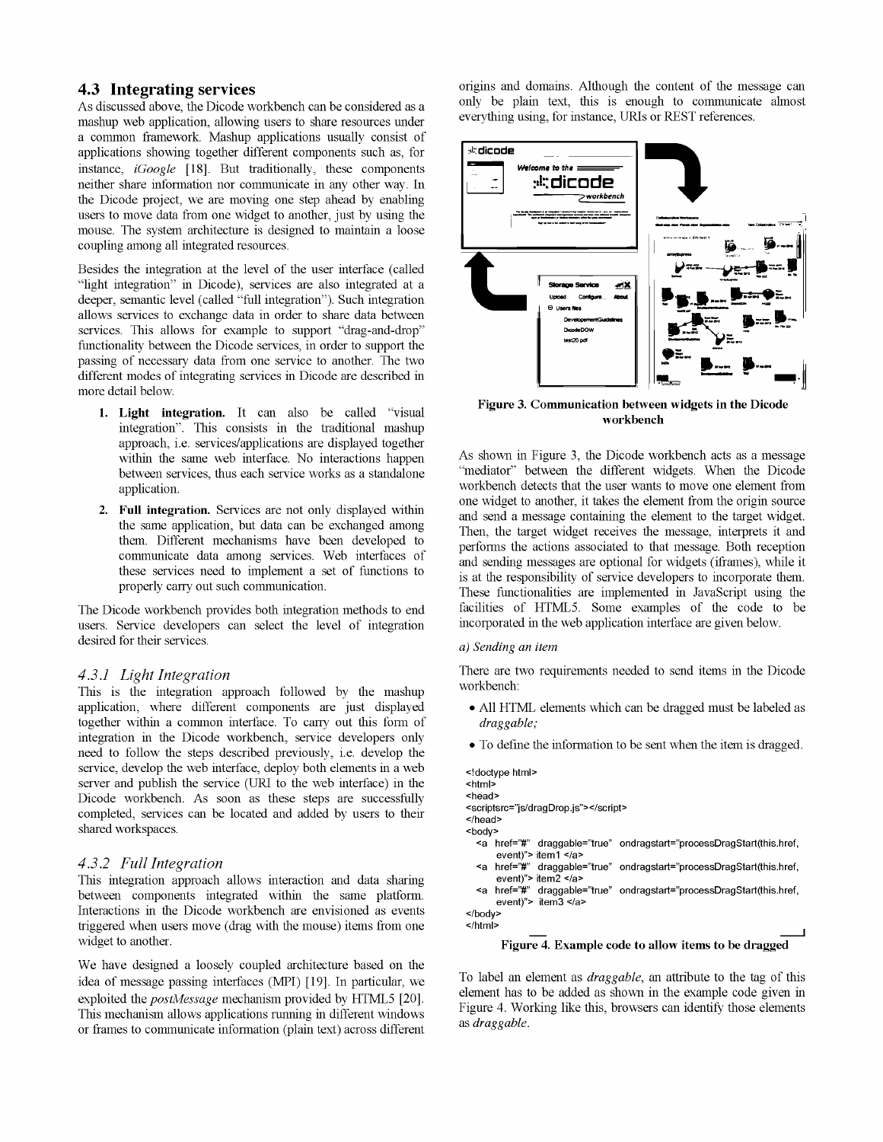### **4.3 Integrating services**

As discussed above, the Dicode workbench can be considered as a mashup web application, allowing users to share resources under a common framework. Mashup applications usually consist of applications showing together different components such as, for instance, *iGoogle* [18]. But traditionally, these components neither share information nor communicate in any other way. In the Dicode project, we are moving one step ahead by enabling users to move data from one widget to another, just by using the mouse. The system architecture is designed to maintain a loose coupling among all integrated resources.

Besides the integration at the level of the user interface (called "light integration" in Dicode), services are also integrated at a deeper, semantic level (called "full integration"). Such integration allows services to exchange data in order to share data between services. This allows for example to support "drag-and-drop" functionality between the Dicode services, in order to support the passing of necessary data from one service to another. The two different modes of integrating services in Dicode are described in more detail below.

- **1. Light integration.** It can also be called "visual integration". This consists in the traditional mashup approach, i.e. services/applications are displayed together within the same web interface. No interactions happen between services, thus each service works as a standalone application.
- **2. Full integration.** Services are not only displayed within the same application, but data can be exchanged among them. Different mechanisms have been developed to communicate data among services. Web interfaces of these services need to implement a set of functions to properly carry out such communication.

The Dicode workbench provides both integration methods to end users. Service developers can select the level of integration desired for their services.

### *4.3.1 Light Integration*

This is the integration approach followed by the mashup application, where different components are just displayed together within a common interface. To carry out this form of integration in the Dicode workbench, service developers only need to follow the steps described previously, i.e. develop the service, develop the web interface, deploy both elements in a web server and publish the service (URI to the web interface) in the Dicode workbench. As soon as these steps are successfully completed, services can be located and added by users to their shared workspaces.

#### *4.3.2 Full Integration*

This integration approach allows interaction and data sharing between components integrated within the same platform. Interactions in the Dicode workbench are envisioned as events triggered when users move (drag with the mouse) items from one widget to another.

We have designed a loosely coupled architecture based on the idea of message passing interfaces (MPI) [19]. In particular, we exploited the *postMessage* mechanism provided by HTML5 [20]. This mechanism allows applications running in different windows or frames to communicate information (plain text) across different

origins and domains. Although the content of the message can only be plain text, this is enough to communicate almost everything using, for instance, URIs or REST references.



**Figure 3. Communication between widgets in the Dicode workbench** 

As shown in Figure 3, the Dicode workbench acts as a message "mediator" between the different widgets. When the Dicode workbench detects that the user wants to move one element from one widget to another, it takes the element from the origin source and send a message containing the element to the target widget. Then, the target widget receives the message, interprets it and performs the actions associated to that message. Both reception and sending messages are optional for widgets (iframes), while it is at the responsibility of service developers to incorporate them. These functionalities are implemented in JavaScript using the facilities of HTML5. Some examples of the code to be incorporated in the web application interface are given below.

#### *a) Sending an item*

There are two requirements needed to send items in the Dicode workbench:

- All HTML elements which can be dragged must be labeled as *draggable;*
- To define the information to be sent when the item is dragged.

| <html><br/><head></head></html> | doctvpe html |                                                 |                                                                                                                                                                                                    |                                                                                                                                                                                                    |                                                                            |
|---------------------------------|--------------|-------------------------------------------------|----------------------------------------------------------------------------------------------------------------------------------------------------------------------------------------------------|----------------------------------------------------------------------------------------------------------------------------------------------------------------------------------------------------|----------------------------------------------------------------------------|
|                                 |              | <scriptsrc="is dragdrop.js"=""></scriptsrc="is> |                                                                                                                                                                                                    |                                                                                                                                                                                                    |                                                                            |
|                                 |              |                                                 |                                                                                                                                                                                                    |                                                                                                                                                                                                    |                                                                            |
| <bodv></bodv>                   |              |                                                 |                                                                                                                                                                                                    |                                                                                                                                                                                                    |                                                                            |
|                                 |              | event)"> item1 $\le$ /a>                        | <a draggable="true" href="#" ondragstart="processDragStart(this.href,&lt;/td&gt;&lt;/tr&gt;&lt;tr&gt;&lt;td&gt;&lt;/td&gt;&lt;td&gt;&lt;/td&gt;&lt;td&gt;event)"> item2 <math>\le</math>/a&gt;</a> | <a draggable="true" href="#" ondragstart="processDragStart(this.href,&lt;/td&gt;&lt;/tr&gt;&lt;tr&gt;&lt;td&gt;&lt;/td&gt;&lt;td&gt;&lt;/td&gt;&lt;td&gt;event)"> item3 <math>\lt/</math>a&gt;</a> | <a href="#" draggable="true" ondragstart="processDragStart(this.href,</td> |
|                                 |              |                                                 |                                                                                                                                                                                                    |                                                                                                                                                                                                    |                                                                            |
|                                 |              |                                                 |                                                                                                                                                                                                    |                                                                                                                                                                                                    |                                                                            |
|                                 |              |                                                 | Figure 4. Example code to allow items to be dragged                                                                                                                                                |                                                                                                                                                                                                    |                                                                            |

To label an element as *draggable,* an attribute to the tag of this element has to be added as shown in the example code given in Figure 4. Working like this, browsers can identify those elements as *draggable.*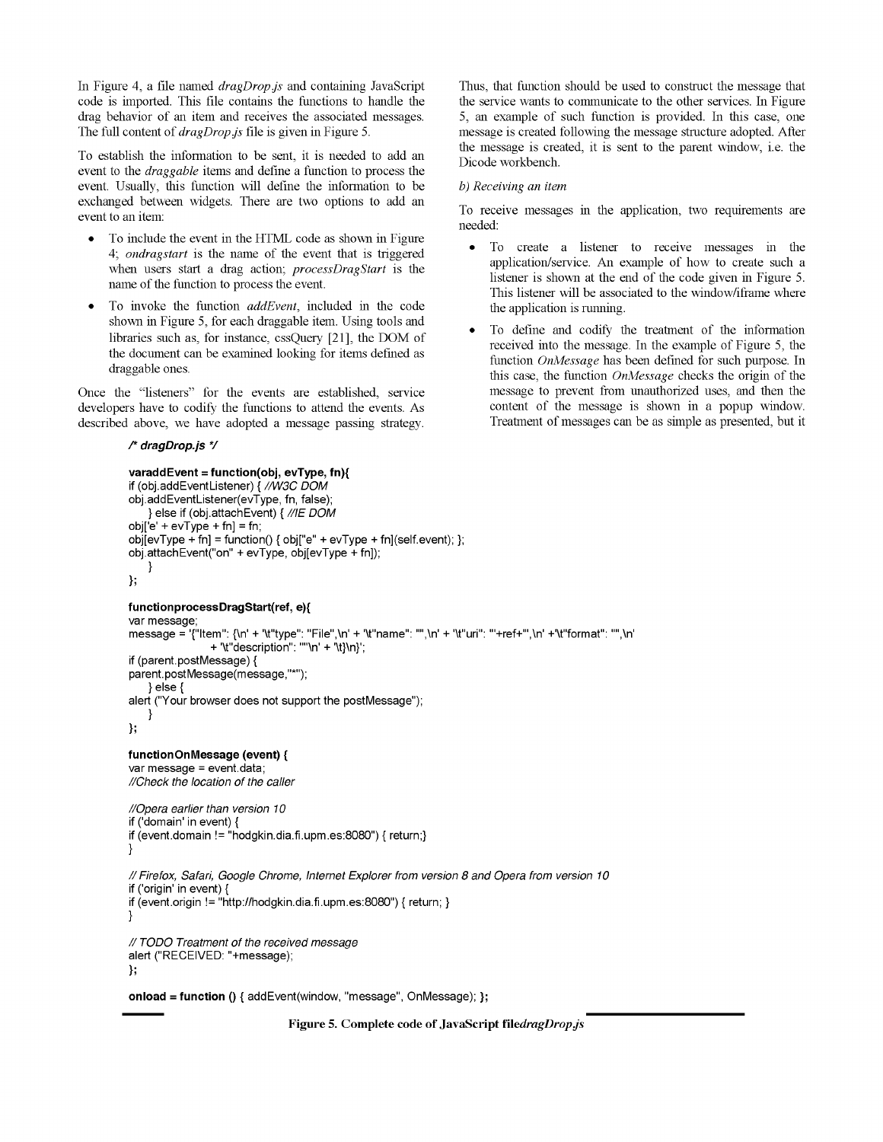In Figure 4, a file named *dragDrop.js* and containing JavaScript code is imported. This file contains the functions to handle the drag behavior of an item and receives the associated messages. The full content of *dragDrop.js* file is given in Figure 5.

To establish the information to be sent, it is needed to add an event to the *draggable* items and define a function to process the event. Usually, this function will define the information to be exchanged between widgets. There are two options to add an event to an item:

- To include the event in the HTML code as shown in Figure 4; *ondragstart* is the name of the event that is triggered when users start a drag action; *processDragStart* is the name of the function to process the event.
- To invoke the function *addEvent,* included in the code shown in Figure 5, for each draggable item. Using tools and libraries such as, for instance, cssQuery [21], the DOM of the document can be examined looking for items defined as draggable ones.

Once the "listeners" for the events are established, service developers have to codify the functions to attend the events. As described above, we have adopted a message passing strategy.

/\* dragDrop.js \*/

```
varaddEvent = function(obj, evType, fn){ 
if (obj.addEventListener) { //W3C DOM 
obj.addEventl_istener(evType, fn, false); 
    } else if (obj.attachEvent) { //IE DOM
obj['e' + evType + fn] = fn;obj[evType + fn] = function() \{ obj["e" + evType + fn](self.event); }obj.attachEvent("on" + evType, obj[evType + fn]); 
   } 
}; 
functionprocessDragStart(ref, e){ 
var message; 
message = '{"Item": {\n' + '\t"type": "File",\n' + '\t"name": "",\n' + '\t"uri": "'+ref+"',\n' +'\t"format": "",\n'
                + Y'description": '"'\n' + '\t}\n}'; 
if (parent. postMessage) { 
parent, post Message(message,"*"); 
   } else { 
alert ("Your browser does not support the postMessage"); 
   } 
}; 
functionOnMessage (event) { 
var message = event.data; 
//Check the location of the caller 
//Opera earlier than version 10 
if ('domain' in event) { 
if (event.domain != "hodgkin.dia.fi.upm.es:8080") { return;}
} 
// Firefox, Safari, Google Chrome, Internet Explorer from version 8 and Opera from version 10
if ('origin' in event) {
http://hodgkin.dia.fi.upm.es:8080") { return; }
} 
// TODO Treatment of the received message 
alert ("RECEIVED: "+message); 
};
```
**onload = function** () **{** addEvent(window, "message", OnMessage); };

Thus, that function should be used to construct the message that the service wants to communicate to the other services. In Figure 5, an example of such function is provided. In this case, one message is created following the message structure adopted. After the message is created, it is sent to the parent window, i.e. the Dicode workbench.

#### *b) Receiving an item*

To receive messages in the application, two requirements are needed:

- To create a listener to receive messages in the application/service. An example of how to create such a listener is shown at the end of the code given in Figure 5. This listener will be associated to the window/iframe where the application is running.
- To define and codify the treatment of the information received into the message. In the example of Figure 5, the function *OnMessage* has been defined for such purpose. In this case, the function *OnMessage* checks the origin of the message to prevent from unauthorized uses, and then the content of the message is shown in a popup window. Treatment of messages can be as simple as presented, but it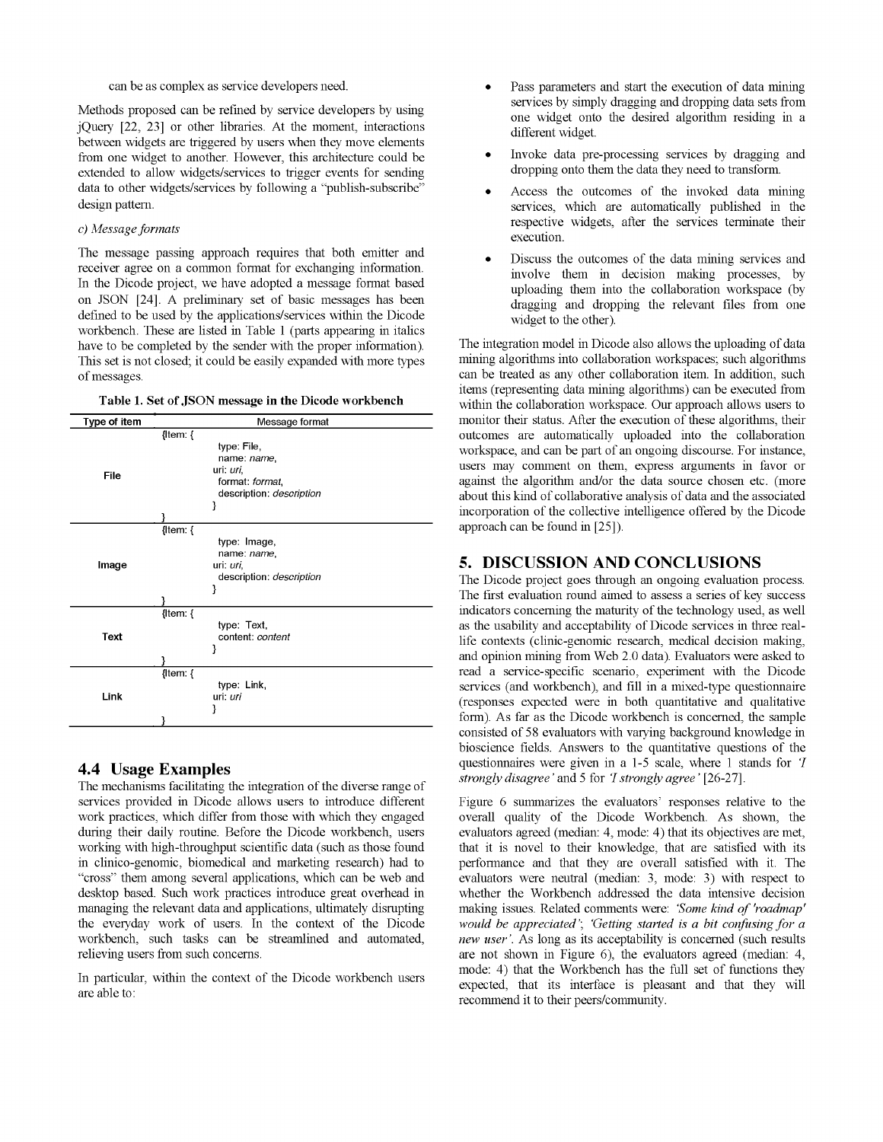can be as complex as service developers need.

Methods proposed can be refined by service developers by using jQuery [22, 23] or other libraries. At the moment, interactions between widgets are triggered by users when they move elements from one widget to another. However, this architecture could be extended to allow widgets/services to trigger events for sending data to other widgets/services by following a "publish-subscribe" design pattern.

### *c) Message formats*

The message passing approach requires that both emitter and receiver agree on a common format for exchanging information. In the Dicode project, we have adopted a message format based on JSON [24]. A preliminary set of basic messages has been defined to be used by the applications/services within the Dicode workbench. These are listed in Table 1 (parts appearing in italics have to be completed by the sender with the proper information). This set is not closed; it could be easily expanded with more types of messages.

**Table 1. Set of JSON message in the Dicode workbench** 

| Type of item | Message format |                                                                                                     |  |
|--------------|----------------|-----------------------------------------------------------------------------------------------------|--|
| File         | {Item: {       | type: File,<br>name: name,<br>uri: <i>uri</i> ,<br>format: format,<br>description: description<br>ł |  |
| Image        | {Item: {       | type: Image,<br>name: name,<br>uri: <i>uri</i> ,<br>description: description                        |  |
| Text         | {Item: {       | type: Text,<br>content: content                                                                     |  |
| Link         | {Item: {       | type: Link,<br>uri: uri                                                                             |  |

# 4.4 Usage Examples

The mechanisms facilitating the integration of the diverse range of services provided in Dicode allows users to introduce different work practices, which differ from those with which they engaged during their daily routine. Before the Dicode workbench, users working with high-throughput scientific data (such as those found in clinico-genomic, biomedical and marketing research) had to "cross" them among several applications, which can be web and desktop based. Such work practices introduce great overhead in managing the relevant data and applications, ultimately disrupting the everyday work of users. In the context of the Dicode workbench, such tasks can be streamlined and automated, relieving users from such concerns.

In particular, within the context of the Dicode workbench users are able to:

- Pass parameters and start the execution of data mining services by simply dragging and dropping data sets from one widget onto the desired algorithm residing in a different widget.
- Invoke data pre-processing services by dragging and dropping onto them the data they need to transform.
- Access the outcomes of the invoked data mining services, which are automatically published in the respective widgets, after the services terminate their execution.
- Discuss the outcomes of the data mining services and involve them in decision making processes, by uploading them into the collaboration workspace (by dragging and dropping the relevant files from one widget to the other).

The integration model in Dicode also allows the uploading of data mining algorithms into collaboration workspaces; such algorithms can be treated as any other collaboration item. In addition, such items (representing data mining algorithms) can be executed from within the collaboration workspace. Our approach allows users to monitor their status. After the execution of these algorithms, their outcomes are automatically uploaded into the collaboration workspace, and can be part of an ongoing discourse. For instance, users may comment on them, express arguments in favor or against the algorithm and/or the data source chosen etc. (more about this kind of collaborative analysis of data and the associated incorporation of the collective intelligence offered by the Dicode approach can be found in [25]).

# 5. DISCUSSION AND CONCLUSIONS

The Dicode project goes through an ongoing evaluation process. The first evaluation round aimed to assess a series of key success indicators concerning the maturity of the technology used, as well as the usability and acceptability of Dicode services in three reallife contexts (clinic-genomic research, medical decision making, and opinion mining from Web 2.0 data). Evaluators were asked to read a service-specific scenario, experiment with the Dicode services (and workbench), and fill in a mixed-type questionnaire (responses expected were in both quantitative and qualitative form). As far as the Dicode workbench is concerned, the sample consisted of 58 evaluators with varying background knowledge in bioscience fields. Answers to the quantitative questions of the questionnaires were given in a 1-5 scale, where 1 stands for T *strongly disagree'* and 5 for 7 *strongly agree'* [26-27].

Figure 6 summarizes the evaluators' responses relative to the overall quality of the Dicode Workbench. As shown, the evaluators agreed (median: 4, mode: 4) that its objectives are met, that it is novel to their knowledge, that are satisfied with its performance and that they are overall satisfied with it. The evaluators were neutral (median: 3, mode: 3) with respect to whether the Workbench addressed the data intensive decision making issues. Related comments were: *'Some kind of 'roadmap' would be appreciated'; 'Getting started is a bit confusing for a new user'.* As long as its acceptability is concerned (such results are not shown in Figure 6), the evaluators agreed (median: 4, mode: 4) that the Workbench has the full set of functions they expected, that its interface is pleasant and that they will recommend it to their peers/community.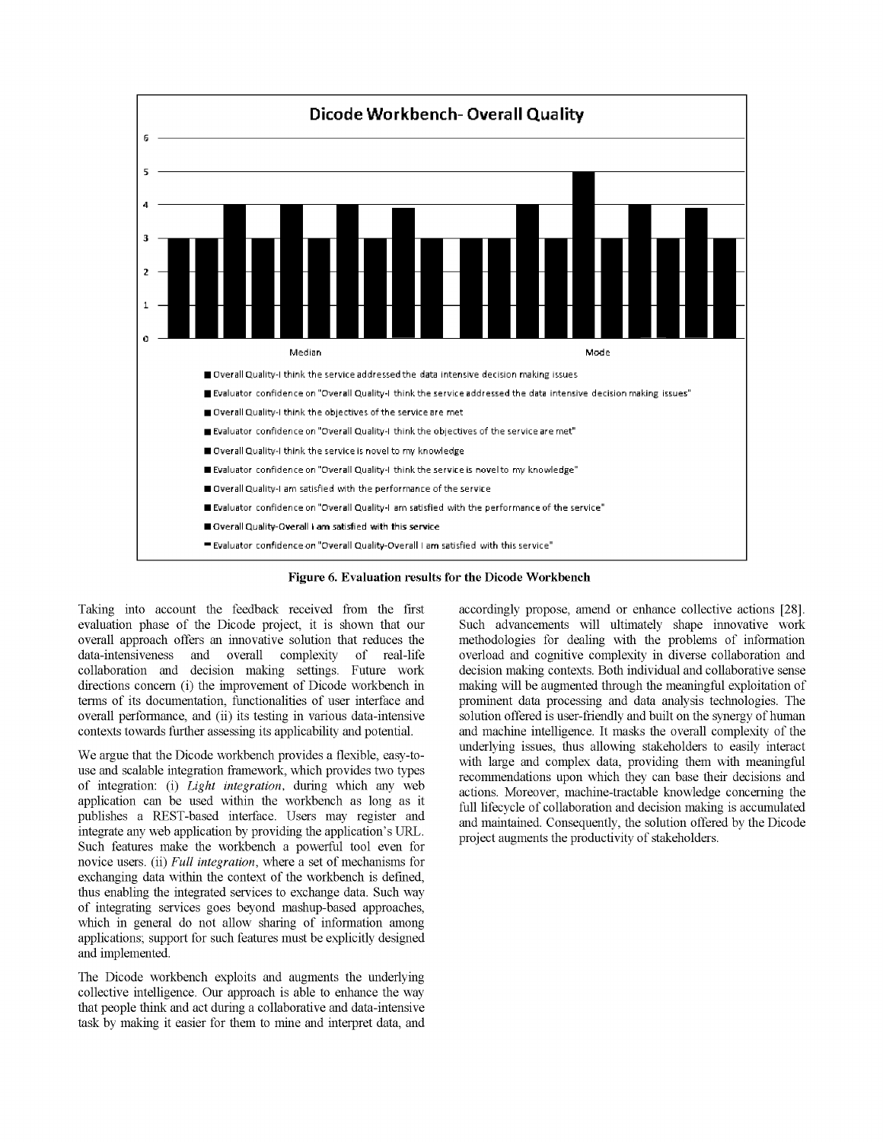

**Figure 6. Evaluation results for the Dicode Workbench** 

Taking into account the feedback received from the first evaluation phase of the Dicode project, it is shown that our overall approach offers an innovative solution that reduces the data-intensiveness and overall complexity of real-life collaboration and decision making settings. Future work directions concern (i) the improvement of Dicode workbench in terms of its documentation, functionalities of user interface and overall performance, and (ii) its testing in various data-intensive contexts towards further assessing its applicability and potential.

We argue that the Dicode workbench provides a flexible, easy-touse and scalable integration framework, which provides two types of integration: (i) *Light integration,* during which any web application can be used within the workbench as long as it publishes a REST-based interface. Users may register and integrate any web application by providing the application's URL. Such features make the workbench a powerful tool even for novice users, (ii) *Full integration,* where a set of mechanisms for exchanging data within the context of the workbench is defined, thus enabling the integrated services to exchange data. Such way of integrating services goes beyond mashup-based approaches, which in general do not allow sharing of information among applications; support for such features must be explicitly designed and implemented.

The Dicode workbench exploits and augments the underlying collective intelligence. Our approach is able to enhance the way that people think and act during a collaborative and data-intensive task by making it easier for them to mine and interpret data, and

accordingly propose, amend or enhance collective actions [28]. Such advancements will ultimately shape innovative work methodologies for dealing with the problems of information overload and cognitive complexity in diverse collaboration and decision making contexts. Both individual and collaborative sense making will be augmented through the meaningful exploitation of prominent data processing and data analysis technologies. The solution offered is user-friendly and built on the synergy of human and machine intelligence. It masks the overall complexity of the underlying issues, thus allowing stakeholders to easily interact with large and complex data, providing them with meaningful recommendations upon which they can base their decisions and actions. Moreover, machine-tractable knowledge concerning the full lifecycle of collaboration and decision making is accumulated and maintained. Consequently, the solution offered by the Dicode project augments the productivity of stakeholders.